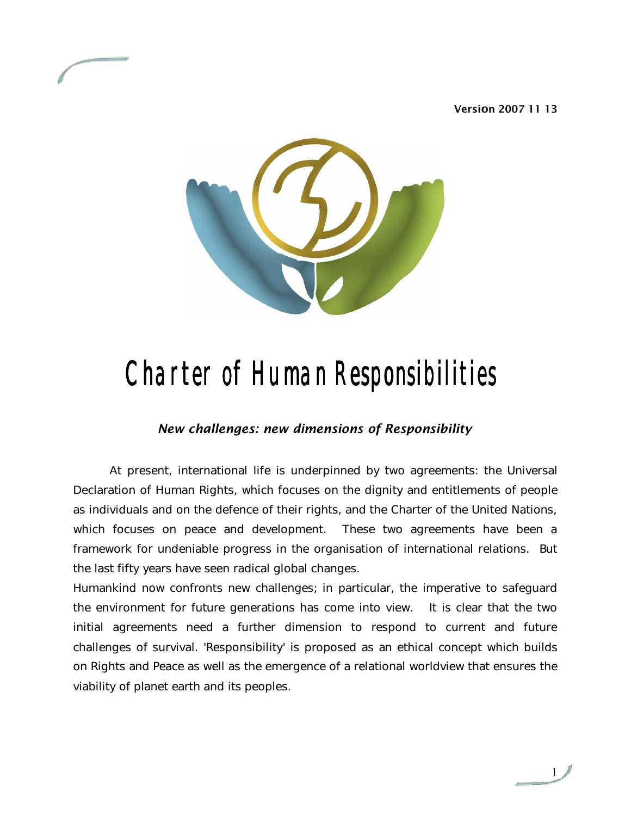**Version 2007 11 13**



# Charter of Human Responsibilities

### *New challenges: new dimensions of Responsibility*

At present, international life is underpinned by two agreements: the Universal Declaration of Human Rights, which focuses on the dignity and entitlements of people as individuals and on the defence of their rights, and the Charter of the United Nations, which focuses on peace and development. These two agreements have been a framework for undeniable progress in the organisation of international relations. But the last fifty years have seen radical global changes.

Humankind now confronts new challenges; in particular, the imperative to safeguard the environment for future generations has come into view. It is clear that the two initial agreements need a further dimension to respond to current and future challenges of survival. 'Responsibility' is proposed as an ethical concept which builds on Rights and Peace as well as the emergence of a relational worldview that ensures the viability of planet earth and its peoples.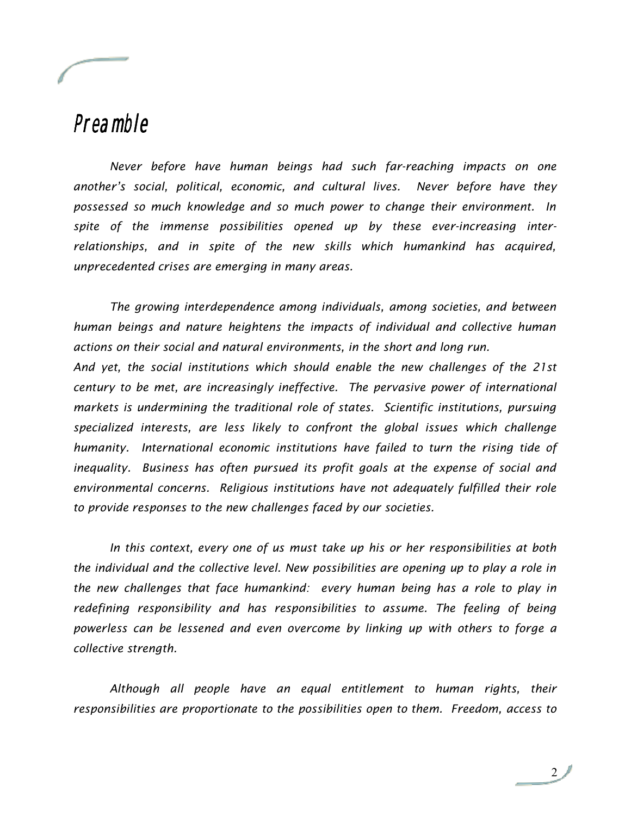### Preamble

*Never before have human beings had such far-reaching impacts on one another's social, political, economic, and cultural lives. Never before have they possessed so much knowledge and so much power to change their environment. In spite of the immense possibilities opened up by these ever-increasing interrelationships, and in spite of the new skills which humankind has acquired, unprecedented crises are emerging in many areas.* 

*The growing interdependence among individuals, among societies, and between human beings and nature heightens the impacts of individual and collective human actions on their social and natural environments, in the short and long run.* 

*And yet, the social institutions which should enable the new challenges of the 21st century to be met, are increasingly ineffective. The pervasive power of international markets is undermining the traditional role of states. Scientific institutions, pursuing specialized interests, are less likely to confront the global issues which challenge humanity. International economic institutions have failed to turn the rising tide of inequality. Business has often pursued its profit goals at the expense of social and environmental concerns. Religious institutions have not adequately fulfilled their role to provide responses to the new challenges faced by our societies.*

*In this context, every one of us must take up his or her responsibilities at both the individual and the collective level. New possibilities are opening up to play a role in the new challenges that face humankind: every human being has a role to play in redefining responsibility and has responsibilities to assume. The feeling of being powerless can be lessened and even overcome by linking up with others to forge a collective strength.* 

*Although all people have an equal entitlement to human rights, their responsibilities are proportionate to the possibilities open to them. Freedom, access to*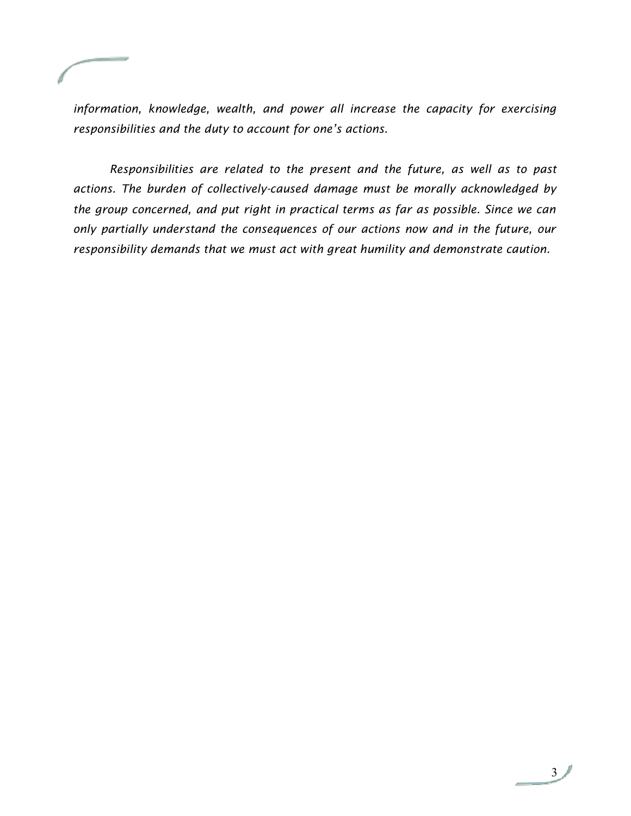*information, knowledge, wealth, and power all increase the capacity for exercising responsibilities and the duty to account for one's actions.* 

*Responsibilities are related to the present and the future, as well as to past actions. The burden of collectively-caused damage must be morally acknowledged by the group concerned, and put right in practical terms as far as possible. Since we can only partially understand the consequences of our actions now and in the future, our responsibility demands that we must act with great humility and demonstrate caution.*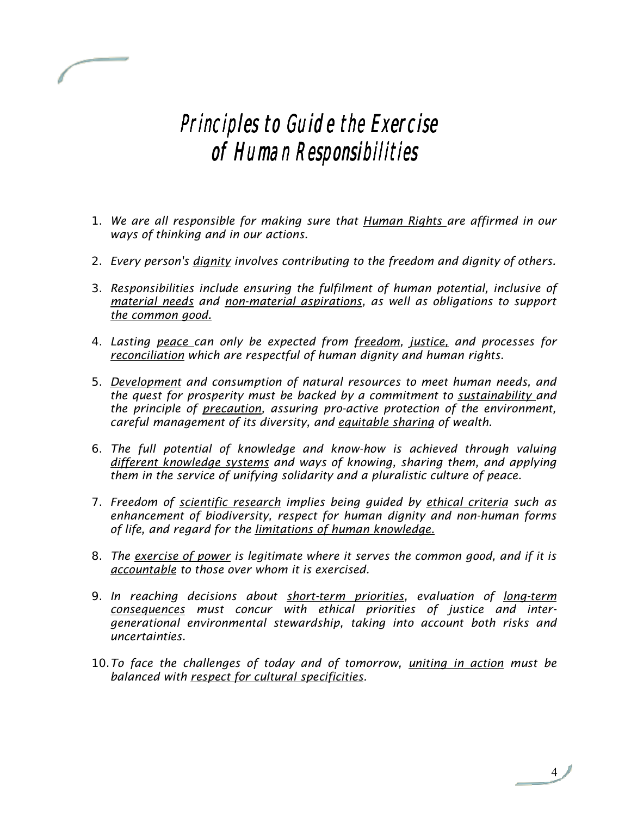### Principles to Guide the Exercise of Human Responsibilities

- 1. *We are all responsible for making sure that Human Rights are affirmed in our ways of thinking and in our actions.*
- 2. *Every person's dignity involves contributing to the freedom and dignity of others.*
- 3. *Responsibilities include ensuring the fulfilment of human potential, inclusive of material needs and non-material aspirations, as well as obligations to support the common good.*
- 4. *Lasting peace can only be expected from freedom, justice, and processes for reconciliation which are respectful of human dignity and human rights.*
- 5. *Development and consumption of natural resources to meet human needs, and the quest for prosperity must be backed by a commitment to sustainability and the principle of precaution, assuring pro-active protection of the environment, careful management of its diversity, and equitable sharing of wealth.*
- 6. *The full potential of knowledge and know-how is achieved through valuing different knowledge systems and ways of knowing, sharing them, and applying them in the service of unifying solidarity and a pluralistic culture of peace.*
- 7. *Freedom of scientific research implies being guided by ethical criteria such as enhancement of biodiversity, respect for human dignity and non-human forms of life, and regard for the limitations of human knowledge.*
- 8. *The exercise of power is legitimate where it serves the common good, and if it is accountable to those over whom it is exercised.*
- 9. *In reaching decisions about short-term priorities, evaluation of long-term consequences must concur with ethical priorities of justice and intergenerational environmental stewardship, taking into account both risks and uncertainties.*
- 10.*To face the challenges of today and of tomorrow, uniting in action must be balanced with respect for cultural specificities.*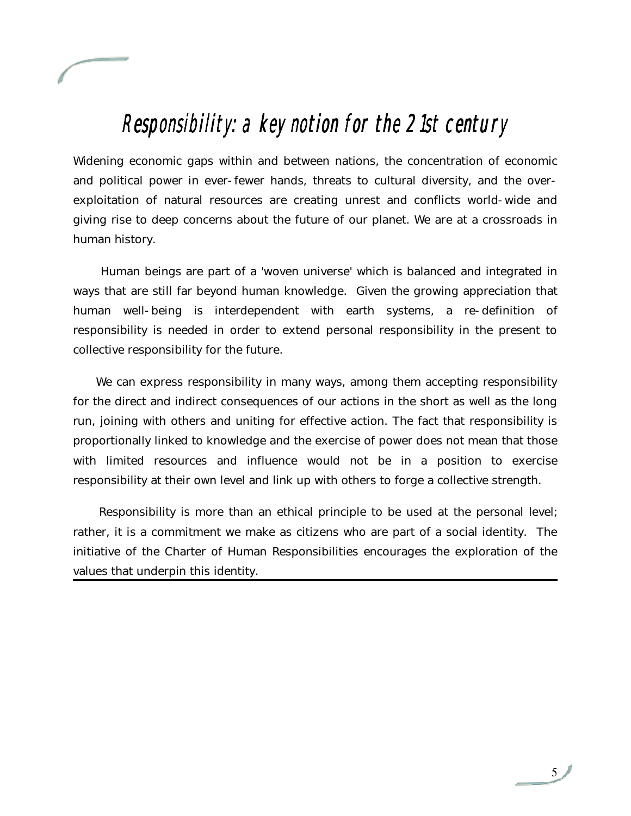

### Responsibility: a key notion for the 21st century

Widening economic gaps within and between nations, the concentration of economic and political power in ever-fewer hands, threats to cultural diversity, and the overexploitation of natural resources are creating unrest and conflicts world-wide and giving rise to deep concerns about the future of our planet. We are at a crossroads in human history.

 Human beings are part of a 'woven universe' which is balanced and integrated in ways that are still far beyond human knowledge. Given the growing appreciation that human well-being is interdependent with earth systems, a re-definition of responsibility is needed in order to extend personal responsibility in the present to collective responsibility for the future.

 We can express responsibility in many ways, among them accepting responsibility for the direct and indirect consequences of our actions in the short as well as the long run, joining with others and uniting for effective action. The fact that responsibility is proportionally linked to knowledge and the exercise of power does not mean that those with limited resources and influence would not be in a position to exercise responsibility at their own level and link up with others to forge a collective strength.

 Responsibility is more than an ethical principle to be used at the personal level; rather, it is a commitment we make as citizens who are part of a social identity. The initiative of the Charter of Human Responsibilities encourages the exploration of the values that underpin this identity.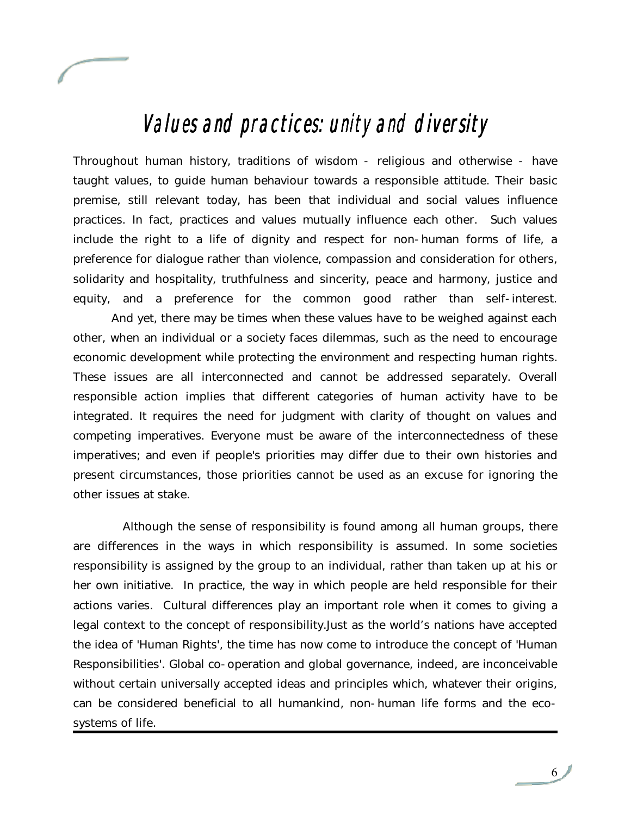

## Values and practices: unity and diversity

Throughout human history, traditions of wisdom - religious and otherwise - have taught values, to guide human behaviour towards a responsible attitude. Their basic premise, still relevant today, has been that individual and social values influence practices. In fact, practices and values mutually influence each other. Such values include the right to a life of dignity and respect for non-human forms of life, a preference for dialogue rather than violence, compassion and consideration for others, solidarity and hospitality, truthfulness and sincerity, peace and harmony, justice and equity, and a preference for the common good rather than self-interest.

 And yet, there may be times when these values have to be weighed against each other, when an individual or a society faces dilemmas, such as the need to encourage economic development while protecting the environment and respecting human rights. These issues are all interconnected and cannot be addressed separately. Overall responsible action implies that different categories of human activity have to be integrated. It requires the need for judgment with clarity of thought on values and competing imperatives. Everyone must be aware of the interconnectedness of these imperatives; and even if people's priorities may differ due to their own histories and present circumstances, those priorities cannot be used as an excuse for ignoring the other issues at stake.

 Although the sense of responsibility is found among all human groups, there are differences in the ways in which responsibility is assumed. In some societies responsibility is assigned by the group to an individual, rather than taken up at his or her own initiative. In practice, the way in which people are held responsible for their actions varies. Cultural differences play an important role when it comes to giving a legal context to the concept of responsibility.Just as the world's nations have accepted the idea of 'Human Rights', the time has now come to introduce the concept of 'Human Responsibilities'. Global co-operation and global governance, indeed, are inconceivable without certain universally accepted ideas and principles which, whatever their origins, can be considered beneficial to all humankind, non-human life forms and the ecosystems of life.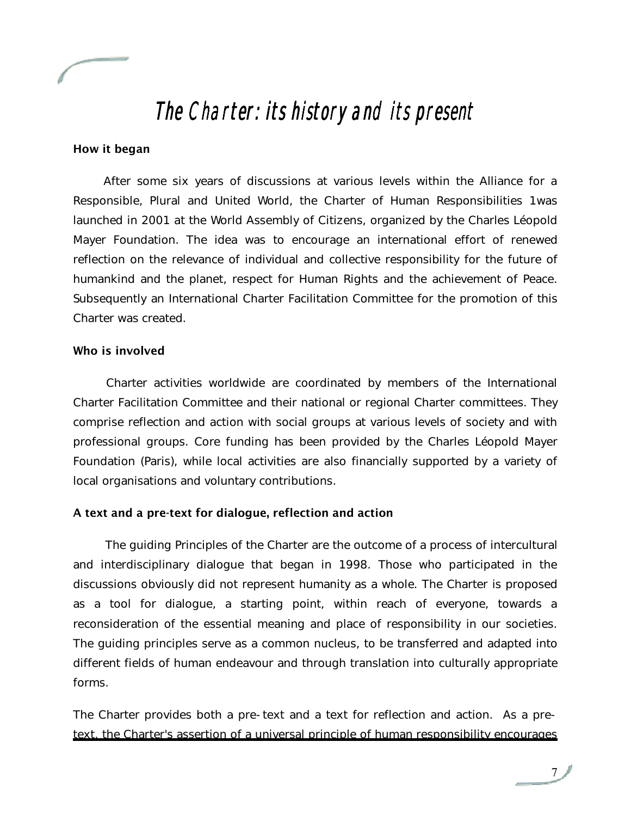

### The Charter: its history and its present

#### **How it began**

 After some six years of discussions at various levels within the Alliance for a Responsible, Plural and United World, the Charter of Human Responsibilities 1was launched in 2001 at the World Assembly of Citizens, organized by the Charles Léopold Mayer Foundation. The idea was to encourage an international effort of renewed reflection on the relevance of individual and collective responsibility for the future of humankind and the planet, respect for Human Rights and the achievement of Peace. Subsequently an International Charter Facilitation Committee for the promotion of this Charter was created.

#### **Who is involved**

 Charter activities worldwide are coordinated by members of the International Charter Facilitation Committee and their national or regional Charter committees. They comprise reflection and action with social groups at various levels of society and with professional groups. Core funding has been provided by the Charles Léopold Mayer Foundation (Paris), while local activities are also financially supported by a variety of local organisations and voluntary contributions.

### **A text and a pre-text for dialogue, reflection and action**

 The guiding Principles of the Charter are the outcome of a process of intercultural and interdisciplinary dialogue that began in 1998. Those who participated in the discussions obviously did not represent humanity as a whole. The Charter is proposed as a tool for dialogue, a starting point, within reach of everyone, towards a reconsideration of the essential meaning and place of responsibility in our societies. The guiding principles serve as a common nucleus, to be transferred and adapted into different fields of human endeavour and through translation into culturally appropriate forms.

The Charter provides both a pre-text and a text for reflection and action. As a pretext, the Charter's assertion of a universal principle of human responsibility encourages